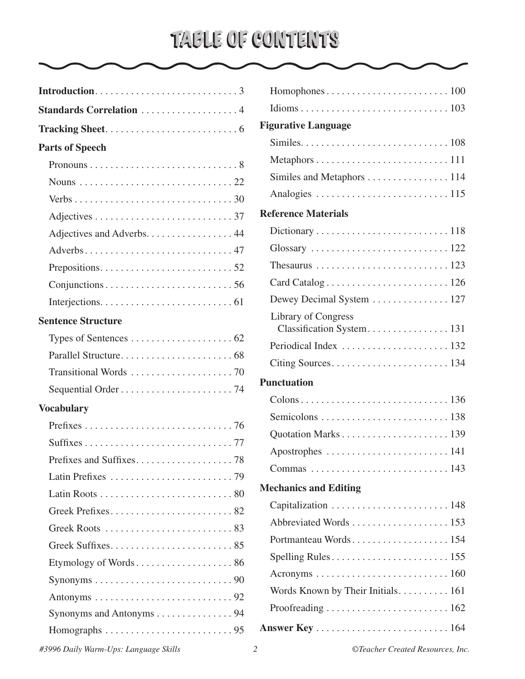# TABLE OF CONTENTS

| Standards Correlation 4                                                      |
|------------------------------------------------------------------------------|
|                                                                              |
| <b>Parts of Speech</b>                                                       |
|                                                                              |
|                                                                              |
|                                                                              |
|                                                                              |
| Adjectives and Adverbs. 44                                                   |
|                                                                              |
|                                                                              |
|                                                                              |
|                                                                              |
| <b>Sentence Structure</b>                                                    |
|                                                                              |
|                                                                              |
|                                                                              |
|                                                                              |
| <b>Vocabulary</b>                                                            |
|                                                                              |
|                                                                              |
|                                                                              |
|                                                                              |
|                                                                              |
|                                                                              |
|                                                                              |
|                                                                              |
|                                                                              |
| Synonyms $\ldots \ldots \ldots \ldots \ldots \ldots \ldots \ldots \ldots 90$ |
|                                                                              |
| Synonyms and Antonyms 94                                                     |
| Homographs $\ldots \ldots \ldots \ldots \ldots \ldots \ldots \ldots$         |
|                                                                              |

| $Homophones \ldots \ldots \ldots \ldots \ldots \ldots \ldots \ldots 100$ |
|--------------------------------------------------------------------------|
|                                                                          |
| <b>Figurative Language</b>                                               |
|                                                                          |
|                                                                          |
|                                                                          |
|                                                                          |
| <b>Reference Materials</b>                                               |
|                                                                          |
|                                                                          |
|                                                                          |
|                                                                          |
| Dewey Decimal System  127                                                |
| <b>Library of Congress</b>                                               |
|                                                                          |
|                                                                          |
|                                                                          |
| <b>Punctuation</b>                                                       |
|                                                                          |
|                                                                          |
|                                                                          |
|                                                                          |
|                                                                          |
| <b>Mechanics and Editing</b>                                             |
| Capitalization  148                                                      |
|                                                                          |
|                                                                          |
|                                                                          |
|                                                                          |
| Words Known by Their Initials. 161                                       |
|                                                                          |
|                                                                          |

*#3996 Daily Warm-Ups: Language Skills 2 ©Teacher Created Resources, Inc.*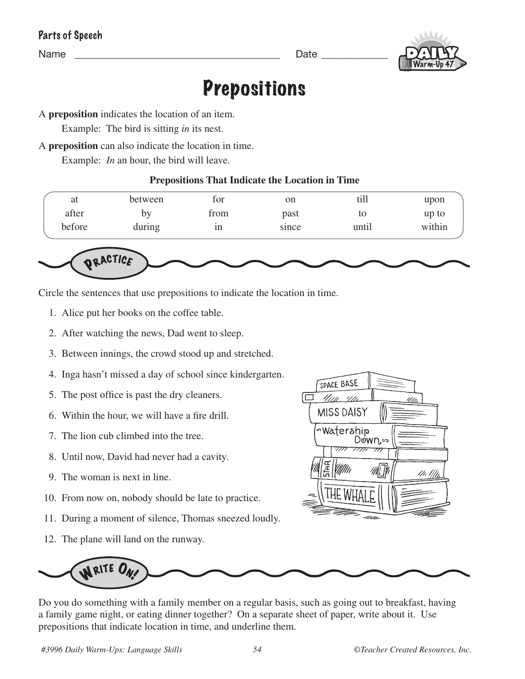| Parts of Speech |  |  |  |  |
|-----------------|--|--|--|--|
|-----------------|--|--|--|--|

Name \_\_\_\_\_\_\_\_\_\_\_\_\_\_\_\_\_\_\_\_\_\_\_\_\_\_\_\_\_\_\_\_\_\_\_\_\_\_\_\_ Date \_\_\_\_\_\_\_\_\_\_\_\_\_



# **Prepositions**

A **preposition** indicates the location of an item.

Example: The bird is sitting *in* its nest.

A **preposition** can also indicate the location in time.

Example: *In* an hour, the bird will leave.

#### **Prepositions That Indicate the Location in Time**

| at     | between | for  | on    | till  | upon   |
|--------|---------|------|-------|-------|--------|
| after  | b٧      | trom | past  | to    | up to  |
| before | during  | 1n   | since | until | within |



Circle the sentences that use prepositions to indicate the location in time.

- 1. Alice put her books on the coffee table.
- 2. After watching the news, Dad went to sleep.
- 3. Between innings, the crowd stood up and stretched.
- 4. Inga hasn't missed a day of school since kindergarten.
- 5. The post office is past the dry cleaners.
- 6. Within the hour, we will have a fire drill.
- 7. The lion cub climbed into the tree.
- 8. Until now, David had never had a cavity.
- 9. The woman is next in line.
- 10. From now on, nobody should be late to practice.
- 11. During a moment of silence, Thomas sneezed loudly.
- 12. The plane will land on the runway.





Do you do something with a family member on a regular basis, such as going out to breakfast, having a family game night, or eating dinner together? On a separate sheet of paper, write about it. Use prepositions that indicate location in time, and underline them.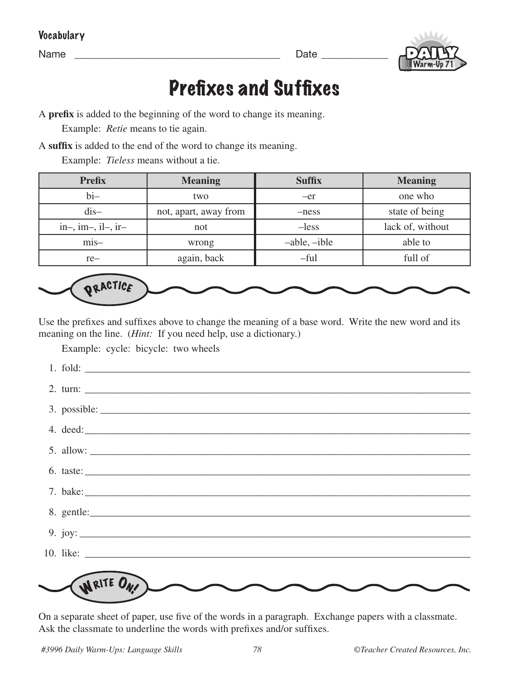Vocabulary

Name \_\_\_\_\_\_\_\_\_\_\_\_\_\_\_\_\_\_\_\_\_\_\_\_\_\_\_\_\_\_\_\_\_\_\_\_\_\_\_\_ Date \_\_\_\_\_\_\_\_\_\_\_\_\_



### Prefixes and Suffixes

A **prefix** is added to the beginning of the word to change its meaning.

Example: *Retie* means to tie again.

A **suffix** is added to the end of the word to change its meaning.

Example: *Tieless* means without a tie.

| <b>Prefix</b>        | <b>Meaning</b>        | <b>Suffix</b>  | <b>Meaning</b>   |
|----------------------|-----------------------|----------------|------------------|
| $bi-$                | two                   | $-er$          | one who          |
| $dis-$               | not, apart, away from | -ness          | state of being   |
| $in-, im-, il-, ir-$ | not                   | $-less$        | lack of, without |
| $mis-$               | wrong                 | $-able, -ible$ | able to          |
| $re-$                | again, back           | $-ful$         | full of          |



Use the prefixes and suffixes above to change the meaning of a base word. Write the new word and its meaning on the line. (*Hint*: If you need help, use a dictionary.)

Example: cycle: bicycle: two wheels

| 2. turn: $\frac{1}{2}$ = $\frac{1}{2}$ = $\frac{1}{2}$ = $\frac{1}{2}$ = $\frac{1}{2}$ = $\frac{1}{2}$ = $\frac{1}{2}$ = $\frac{1}{2}$ = $\frac{1}{2}$ = $\frac{1}{2}$ = $\frac{1}{2}$ = $\frac{1}{2}$ = $\frac{1}{2}$ = $\frac{1}{2}$ = $\frac{1}{2}$ = $\frac{1}{2}$ = $\frac{1}{2}$ = $\frac{1}{2}$ |
|--------------------------------------------------------------------------------------------------------------------------------------------------------------------------------------------------------------------------------------------------------------------------------------------------------|
|                                                                                                                                                                                                                                                                                                        |
|                                                                                                                                                                                                                                                                                                        |
| $5.$ allow: $\_\_\_\_\_\_\_\_\_\_$                                                                                                                                                                                                                                                                     |
| 6. taste: $\frac{1}{2}$ = $\frac{1}{2}$ = $\frac{1}{2}$ = $\frac{1}{2}$ = $\frac{1}{2}$ = $\frac{1}{2}$ = $\frac{1}{2}$ = $\frac{1}{2}$ = $\frac{1}{2}$ = $\frac{1}{2}$ = $\frac{1}{2}$ = $\frac{1}{2}$ = $\frac{1}{2}$ = $\frac{1}{2}$ = $\frac{1}{2}$ = $\frac{1}{2}$ = $\frac{1}{2}$ = $\frac{1}{2$ |
|                                                                                                                                                                                                                                                                                                        |
|                                                                                                                                                                                                                                                                                                        |
| 9. joy: $\qquad \qquad$                                                                                                                                                                                                                                                                                |
|                                                                                                                                                                                                                                                                                                        |
|                                                                                                                                                                                                                                                                                                        |
| IN RITE ON                                                                                                                                                                                                                                                                                             |

On a separate sheet of paper, use five of the words in a paragraph. Exchange papers with a classmate. Ask the classmate to underline the words with prefixes and/or suffixes.

*#3996 Daily Warm-Ups: Language Skills 78 ©Teacher Created Resources, Inc.*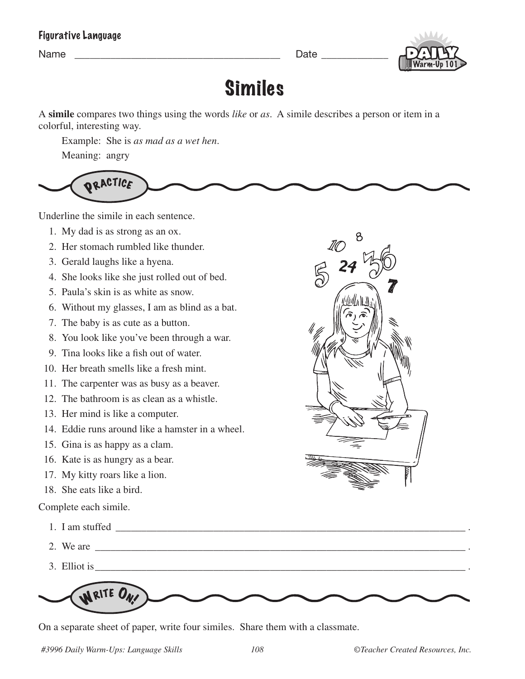#### Figurative Language

Name **Name Name Name Name Name** *Name Name Name Name Name Name* 



# Similes

A **simile** compares two things using the words *like* or *as*. A simile describes a person or item in a colorful, interesting way.

Example: She is *as mad as a wet hen*.

Meaning: angry



Underline the simile in each sentence.

- 1. My dad is as strong as an ox.
- 2. Her stomach rumbled like thunder.
- 3. Gerald laughs like a hyena.
- 4. She looks like she just rolled out of bed.
- 5. Paula's skin is as white as snow.
- 6. Without my glasses, I am as blind as a bat.
- 7. The baby is as cute as a button.
- 8. You look like you've been through a war.
- 9. Tina looks like a fish out of water.
- 10. Her breath smells like a fresh mint.
- 11. The carpenter was as busy as a beaver.
- 12. The bathroom is as clean as a whistle.
- 13. Her mind is like a computer.
- 14. Eddie runs around like a hamster in a wheel.
- 15. Gina is as happy as a clam.
- 16. Kate is as hungry as a bear.
- 17. My kitty roars like a lion.
- 18. She eats like a bird.

Complete each simile.

- 1. I am stuffed \_\_\_\_\_\_\_\_\_\_\_\_\_\_\_\_\_\_\_\_\_\_\_\_\_\_\_\_\_\_\_\_\_\_\_\_\_\_\_\_\_\_\_\_\_\_\_\_\_\_\_\_\_\_\_\_\_\_\_\_\_\_\_\_\_\_\_\_.
- 2. We are  $\Box$
- 3. Elliot is\_\_\_\_\_\_\_\_\_\_\_\_\_\_\_\_\_\_\_\_\_\_\_\_\_\_\_\_\_\_\_\_\_\_\_\_\_\_\_\_\_\_\_\_\_\_\_\_\_\_\_\_\_\_\_\_\_\_\_\_\_\_\_\_\_\_\_\_\_\_\_\_.



On a separate sheet of paper, write four similes. Share them with a classmate.

*#3996 Daily Warm-Ups: Language Skills 108 ©Teacher Created Resources, Inc.*